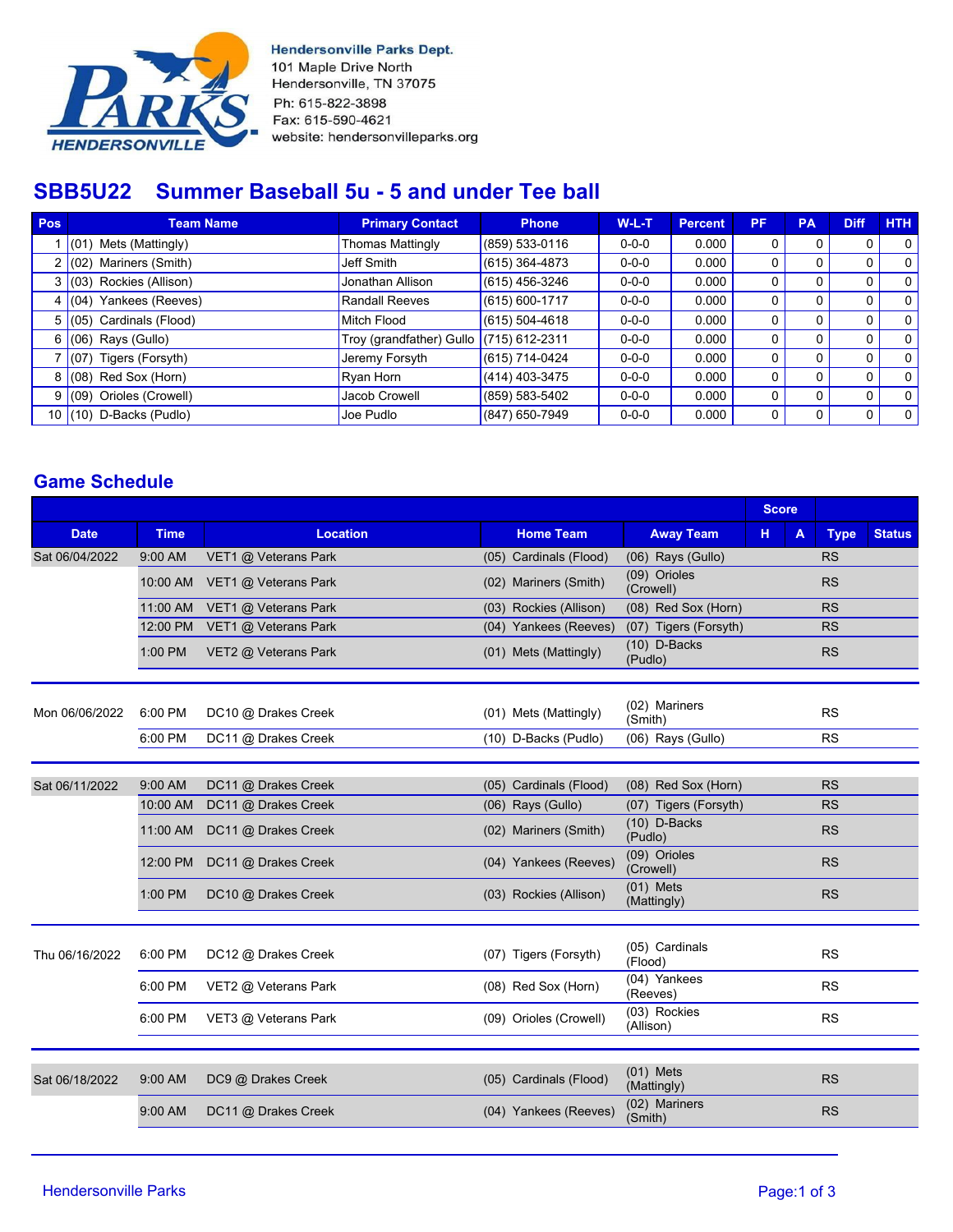

**Hendersonville Parks Dept.** 101 Maple Drive North Hendersonville, TN 37075 Ph: 615-822-3898 Fax: 615-590-4621 website: hendersonvilleparks.org

# **SBB5U22 Summer Baseball 5u - 5 and under Tee ball**

| Pos            | <b>Team Name</b>               | <b>Primary Contact</b>                    | <b>Phone</b>       | $W-L-T$     | <b>Percent</b> | <b>PF</b> | <b>PA</b> | <b>Diff</b> | <b>HTH</b>   |
|----------------|--------------------------------|-------------------------------------------|--------------------|-------------|----------------|-----------|-----------|-------------|--------------|
|                | $(01)$ Mets (Mattingly)        | <b>Thomas Mattingly</b>                   | (859) 533-0116     | $0 - 0 - 0$ | 0.000          | 0         |           | 0           | $\Omega$     |
|                | Mariners (Smith)<br>2 (02)     | Jeff Smith                                | $(615)$ 364-4873   | $0 - 0 - 0$ | 0.000          | 0         |           | 0           | $\mathbf{0}$ |
| 3 I            | (03) Rockies (Allison)         | Jonathan Allison                          | (615) 456-3246     | $0 - 0 - 0$ | 0.000          | 0         |           |             | $\Omega$     |
| 4 I            | Yankees (Reeves)<br>(04)       | Randall Reeves                            | (615) 600-1717     | $0 - 0 - 0$ | 0.000          | 0         |           |             | 0            |
| 5 <sup>1</sup> | (05) Cardinals (Flood)         | Mitch Flood                               | $(615) 504 - 4618$ | $0 - 0 - 0$ | 0.000          | 0         |           | 0           | $\Omega$     |
|                | $6 (06)$ Rays (Gullo)          | Troy (grandfather) Gullo $(715)$ 612-2311 |                    | $0 - 0 - 0$ | 0.000          | 0         |           | 0           | $\Omega$     |
|                | $\sqrt{(07)}$ Tigers (Forsyth) | Jeremy Forsyth                            | (615) 714-0424     | $0 - 0 - 0$ | 0.000          |           |           |             | 0            |
|                | $8(08)$ Red Sox (Horn)         | Ryan Horn                                 | (414) 403-3475     | $0 - 0 - 0$ | 0.000          | 0         |           | 0           | $\Omega$     |
|                | Orioles (Crowell)<br>9(09)     | Jacob Crowell                             | (859) 583-5402     | $0 - 0 - 0$ | 0.000          | 0         |           | 0           | $\Omega$     |
|                | 10 $(10)$ D-Backs (Pudlo)      | Joe Pudlo                                 | (847) 650-7949     | $0 - 0 - 0$ | 0.000          | 0         |           |             | 0            |

### **Game Schedule**

|                |             |                      |                                                    |                        |                            | <b>Score</b> |              |             |               |
|----------------|-------------|----------------------|----------------------------------------------------|------------------------|----------------------------|--------------|--------------|-------------|---------------|
| <b>Date</b>    | <b>Time</b> | <b>Location</b>      |                                                    | <b>Home Team</b>       | <b>Away Team</b>           | н            | $\mathbf{A}$ | <b>Type</b> | <b>Status</b> |
| Sat 06/04/2022 | 9:00 AM     | VET1 @ Veterans Park |                                                    | (05) Cardinals (Flood) | (06) Rays (Gullo)          |              |              | <b>RS</b>   |               |
|                | 10:00 AM    | VET1 @ Veterans Park |                                                    | (02) Mariners (Smith)  | (09) Orioles<br>(Crowell)  |              |              | <b>RS</b>   |               |
| 11:00 AM       |             | VET1 @ Veterans Park |                                                    | (03) Rockies (Allison) | (08) Red Sox (Horn)        |              |              | <b>RS</b>   |               |
|                | 12:00 PM    | VET1 @ Veterans Park |                                                    | (04) Yankees (Reeves)  | (07) Tigers (Forsyth)      |              |              | <b>RS</b>   |               |
|                | 1:00 PM     | VET2 @ Veterans Park | $(10)$ D-Backs<br>(01) Mets (Mattingly)<br>(Pudlo) |                        |                            |              |              | <b>RS</b>   |               |
|                |             |                      |                                                    |                        |                            |              |              |             |               |
| Mon 06/06/2022 | 6:00 PM     | DC10 @ Drakes Creek  |                                                    | (01) Mets (Mattingly)  | (02) Mariners<br>(Smith)   |              |              | <b>RS</b>   |               |
|                | 6:00 PM     | DC11 @ Drakes Creek  |                                                    | (10) D-Backs (Pudlo)   | (06) Rays (Gullo)          |              |              | <b>RS</b>   |               |
|                |             |                      |                                                    |                        |                            |              |              |             |               |
| Sat 06/11/2022 | 9:00 AM     | DC11 @ Drakes Creek  |                                                    | (05) Cardinals (Flood) | (08) Red Sox (Horn)        |              |              | <b>RS</b>   |               |
|                | 10:00 AM    | DC11 @ Drakes Creek  |                                                    | $(06)$ Rays $(Gullo)$  | (07) Tigers (Forsyth)      |              |              | <b>RS</b>   |               |
|                | 11:00 AM    | DC11 @ Drakes Creek  |                                                    | (02) Mariners (Smith)  | $(10)$ D-Backs<br>(Pudlo)  |              |              | <b>RS</b>   |               |
|                | 12:00 PM    | DC11 @ Drakes Creek  |                                                    | (04) Yankees (Reeves)  | (09) Orioles<br>(Crowell)  |              |              | <b>RS</b>   |               |
|                | 1:00 PM     | DC10 @ Drakes Creek  |                                                    | (03) Rockies (Allison) | $(01)$ Mets<br>(Mattingly) |              |              | <b>RS</b>   |               |
|                |             |                      |                                                    |                        |                            |              |              |             |               |
| Thu 06/16/2022 | 6:00 PM     | DC12 @ Drakes Creek  |                                                    | (07) Tigers (Forsyth)  | (05) Cardinals<br>(Flood)  |              |              | <b>RS</b>   |               |
|                | 6:00 PM     | VET2 @ Veterans Park |                                                    | (08) Red Sox (Horn)    | (04) Yankees<br>(Reeves)   |              |              | <b>RS</b>   |               |
|                | 6:00 PM     | VET3 @ Veterans Park |                                                    | (09) Orioles (Crowell) | (03) Rockies<br>(Allison)  |              |              | <b>RS</b>   |               |
|                |             |                      |                                                    |                        |                            |              |              |             |               |
| Sat 06/18/2022 | 9:00 AM     | DC9 @ Drakes Creek   |                                                    | (05) Cardinals (Flood) | $(01)$ Mets<br>(Mattingly) |              |              | <b>RS</b>   |               |
|                | 9:00 AM     | DC11 @ Drakes Creek  |                                                    | (04) Yankees (Reeves)  | (02) Mariners<br>(Smith)   |              |              | <b>RS</b>   |               |
|                |             |                      |                                                    |                        |                            |              |              |             |               |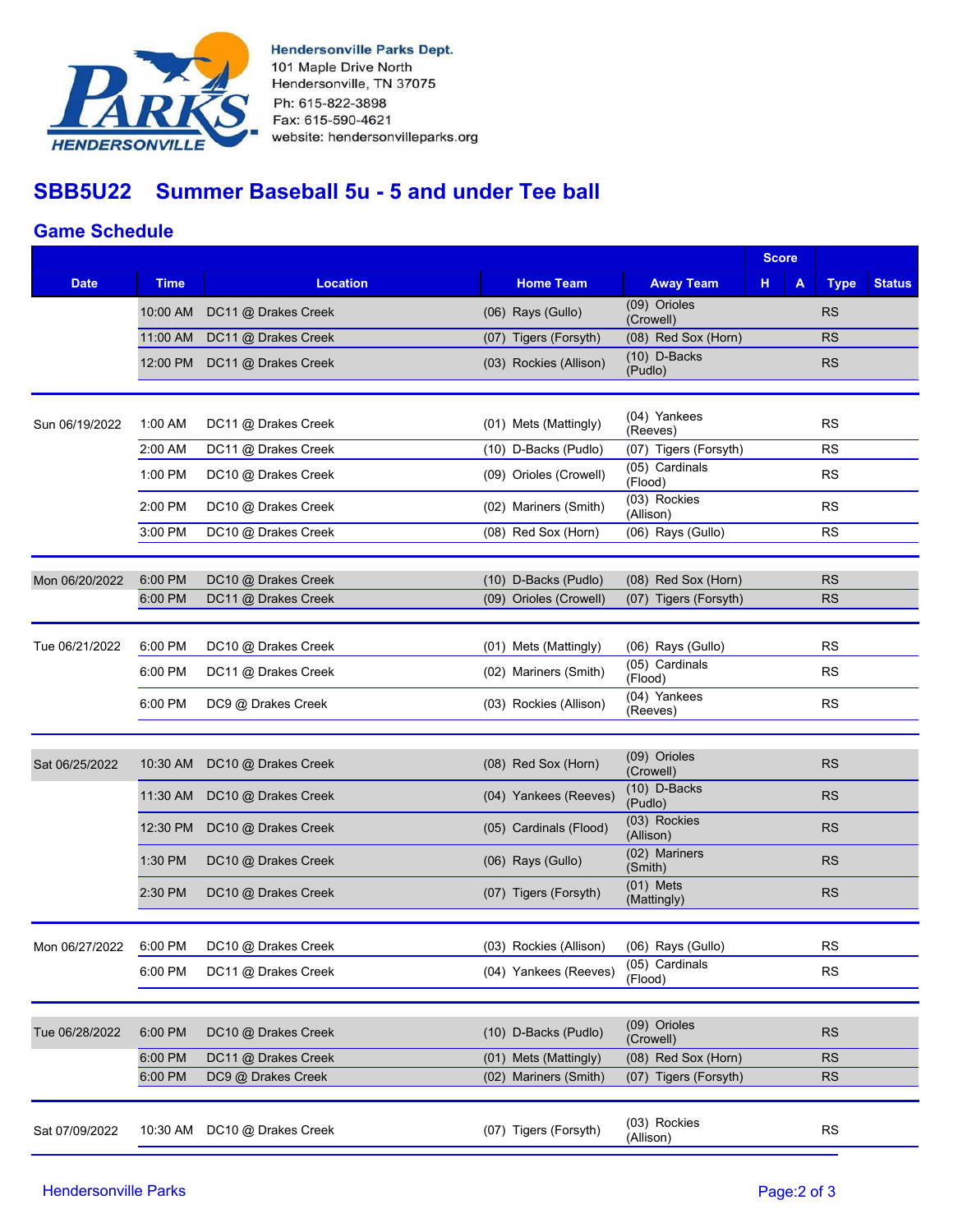

**Hendersonville Parks Dept.** 101 Maple Drive North Hendersonville, TN 37075 Ph: 615-822-3898 Fax: 615-590-4621 website: hendersonvilleparks.org

# **SBB5U22 Summer Baseball 5u - 5 and under Tee ball**

### **Game Schedule**

|             |                                          |                                                                                                                 |                                                                                                                                                    | <b>Score</b>                                                                                                                                                                                 |             |                                                  |
|-------------|------------------------------------------|-----------------------------------------------------------------------------------------------------------------|----------------------------------------------------------------------------------------------------------------------------------------------------|----------------------------------------------------------------------------------------------------------------------------------------------------------------------------------------------|-------------|--------------------------------------------------|
| <b>Time</b> | <b>Location</b>                          | <b>Home Team</b>                                                                                                | <b>Away Team</b>                                                                                                                                   | н<br>A                                                                                                                                                                                       | <b>Type</b> | <b>Status</b>                                    |
| 10:00 AM    | DC11 @ Drakes Creek                      | $(06)$ Rays $(Gullo)$                                                                                           | (09) Orioles                                                                                                                                       |                                                                                                                                                                                              | <b>RS</b>   |                                                  |
| 11:00 AM    | DC11 @ Drakes Creek                      | (07) Tigers (Forsyth)                                                                                           | (08) Red Sox (Horn)                                                                                                                                |                                                                                                                                                                                              | <b>RS</b>   |                                                  |
| 12:00 PM    | DC11 @ Drakes Creek                      | (03) Rockies (Allison)                                                                                          | (Pudlo)                                                                                                                                            |                                                                                                                                                                                              | <b>RS</b>   |                                                  |
|             |                                          |                                                                                                                 | (04) Yankees                                                                                                                                       |                                                                                                                                                                                              |             |                                                  |
|             |                                          |                                                                                                                 | (Reeves)                                                                                                                                           |                                                                                                                                                                                              |             |                                                  |
|             |                                          |                                                                                                                 |                                                                                                                                                    |                                                                                                                                                                                              |             |                                                  |
|             |                                          |                                                                                                                 | (Flood)                                                                                                                                            |                                                                                                                                                                                              |             |                                                  |
| 2:00 PM     | DC10 @ Drakes Creek                      | (02) Mariners (Smith)                                                                                           | (Allison)                                                                                                                                          |                                                                                                                                                                                              | <b>RS</b>   |                                                  |
| 3:00 PM     | DC10 @ Drakes Creek                      | (08) Red Sox (Horn)                                                                                             | (06) Rays (Gullo)                                                                                                                                  |                                                                                                                                                                                              | <b>RS</b>   |                                                  |
|             |                                          |                                                                                                                 |                                                                                                                                                    |                                                                                                                                                                                              |             |                                                  |
| 6:00 PM     |                                          |                                                                                                                 |                                                                                                                                                    |                                                                                                                                                                                              | <b>RS</b>   |                                                  |
|             |                                          |                                                                                                                 |                                                                                                                                                    |                                                                                                                                                                                              |             |                                                  |
| 6:00 PM     | DC10 @ Drakes Creek                      |                                                                                                                 |                                                                                                                                                    |                                                                                                                                                                                              | <b>RS</b>   |                                                  |
| 6:00 PM     | DC11 @ Drakes Creek                      | (02) Mariners (Smith)                                                                                           | (05) Cardinals<br>(Flood)                                                                                                                          |                                                                                                                                                                                              | <b>RS</b>   |                                                  |
| 6:00 PM     | DC9 @ Drakes Creek                       | (03) Rockies (Allison)                                                                                          | (04) Yankees<br>(Reeves)                                                                                                                           |                                                                                                                                                                                              | <b>RS</b>   |                                                  |
|             |                                          |                                                                                                                 |                                                                                                                                                    |                                                                                                                                                                                              |             |                                                  |
| 10:30 AM    | DC10 @ Drakes Creek                      | (08) Red Sox (Horn)                                                                                             | (09) Orioles<br>(Crowell)                                                                                                                          |                                                                                                                                                                                              | <b>RS</b>   |                                                  |
| 11:30 AM    | DC10 @ Drakes Creek                      | (04) Yankees (Reeves)                                                                                           | $(10)$ D-Backs<br>(Pudlo)                                                                                                                          |                                                                                                                                                                                              | <b>RS</b>   |                                                  |
| 12:30 PM    | DC10 @ Drakes Creek                      | (05) Cardinals (Flood)                                                                                          | (03) Rockies<br>(Allison)                                                                                                                          |                                                                                                                                                                                              | <b>RS</b>   |                                                  |
| 1:30 PM     | DC10 @ Drakes Creek                      | $(06)$ Rays $(Gullo)$                                                                                           | (02) Mariners<br>(Smith)                                                                                                                           |                                                                                                                                                                                              | <b>RS</b>   |                                                  |
| 2:30 PM     | DC10 @ Drakes Creek                      | (07) Tigers (Forsyth)                                                                                           | (Mattingly)                                                                                                                                        |                                                                                                                                                                                              | <b>RS</b>   |                                                  |
|             |                                          |                                                                                                                 |                                                                                                                                                    |                                                                                                                                                                                              |             |                                                  |
| 6:00 PM     | DC10 @ Drakes Creek                      | (03) Rockies (Allison)                                                                                          | $(06)$ Rays $(Gullo)$                                                                                                                              |                                                                                                                                                                                              | <b>RS</b>   |                                                  |
| 6:00 PM     | DC11 @ Drakes Creek                      | (04) Yankees (Reeves)                                                                                           | (Flood)                                                                                                                                            |                                                                                                                                                                                              | <b>RS</b>   |                                                  |
|             |                                          |                                                                                                                 |                                                                                                                                                    |                                                                                                                                                                                              |             |                                                  |
| 6:00 PM     | DC10 @ Drakes Creek                      | (10) D-Backs (Pudlo)                                                                                            | (09) Orioles<br>(Crowell)                                                                                                                          |                                                                                                                                                                                              | <b>RS</b>   |                                                  |
| 6:00 PM     | DC11 @ Drakes Creek                      | (01) Mets (Mattingly)                                                                                           | (08) Red Sox (Horn)                                                                                                                                |                                                                                                                                                                                              | <b>RS</b>   |                                                  |
| 6:00 PM     | DC9 @ Drakes Creek                       | (02) Mariners (Smith)                                                                                           | (07) Tigers (Forsyth)                                                                                                                              |                                                                                                                                                                                              | <b>RS</b>   |                                                  |
|             |                                          |                                                                                                                 |                                                                                                                                                    |                                                                                                                                                                                              |             |                                                  |
| 10:30 AM    | DC10 @ Drakes Creek                      | (07) Tigers (Forsyth)                                                                                           | (03) Rockies<br>(Allison)                                                                                                                          |                                                                                                                                                                                              | <b>RS</b>   |                                                  |
|             | 1:00 AM<br>2:00 AM<br>1:00 PM<br>6:00 PM | DC11 @ Drakes Creek<br>DC11 @ Drakes Creek<br>DC10 @ Drakes Creek<br>DC10 @ Drakes Creek<br>DC11 @ Drakes Creek | (01) Mets (Mattingly)<br>(10) D-Backs (Pudlo)<br>(09) Orioles (Crowell)<br>(10) D-Backs (Pudlo)<br>(09) Orioles (Crowell)<br>(01) Mets (Mattingly) | (Crowell)<br>$(10)$ D-Backs<br>(07) Tigers (Forsyth)<br>(05) Cardinals<br>(03) Rockies<br>(08) Red Sox (Horn)<br>(07) Tigers (Forsyth)<br>(06) Rays (Gullo)<br>$(01)$ Mets<br>(05) Cardinals |             | <b>RS</b><br><b>RS</b><br><b>RS</b><br><b>RS</b> |